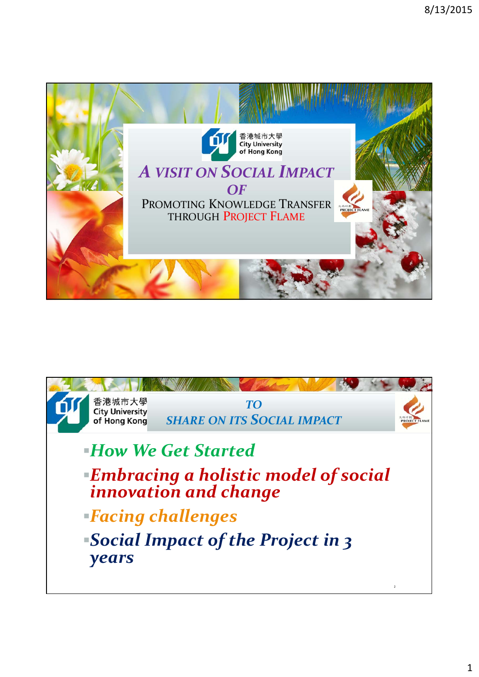

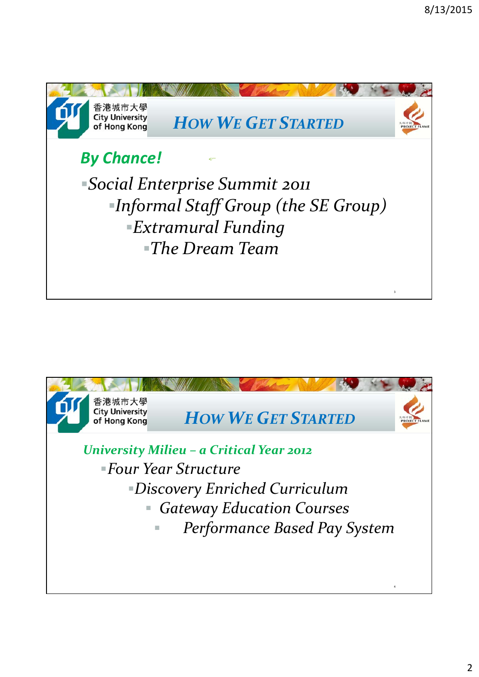

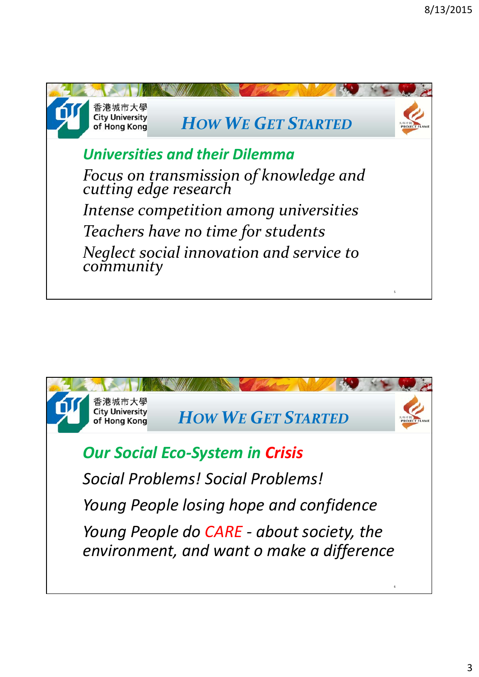

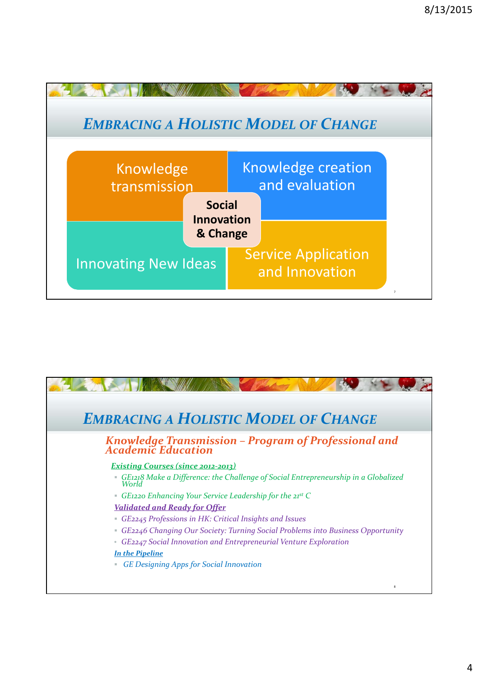

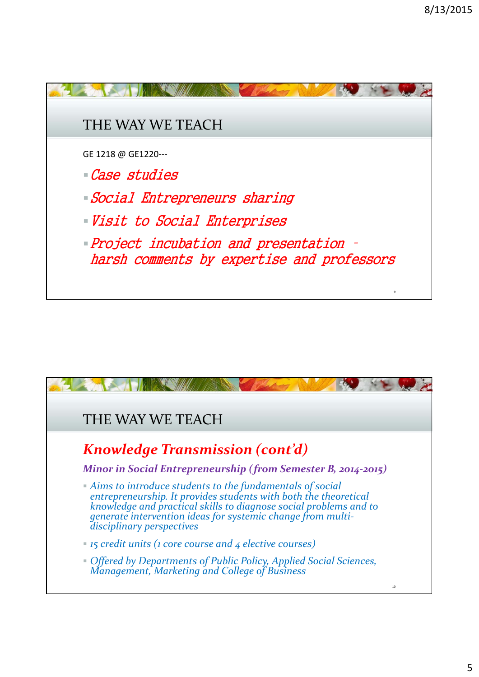

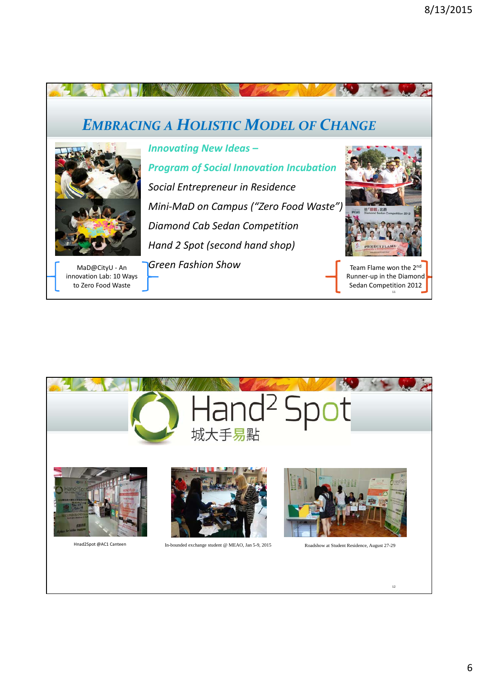



6

12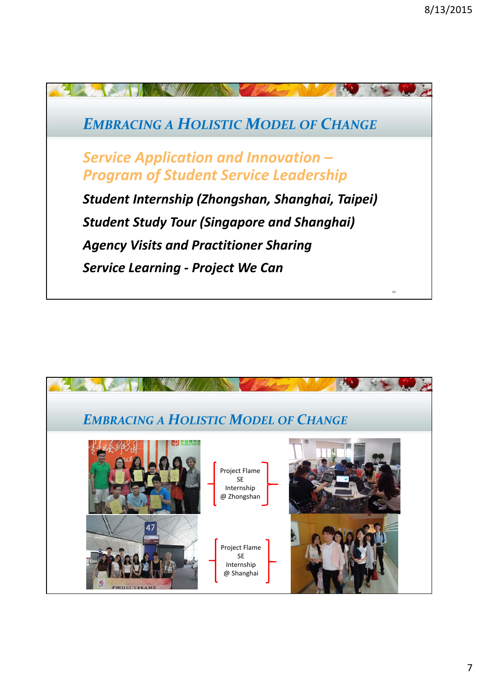

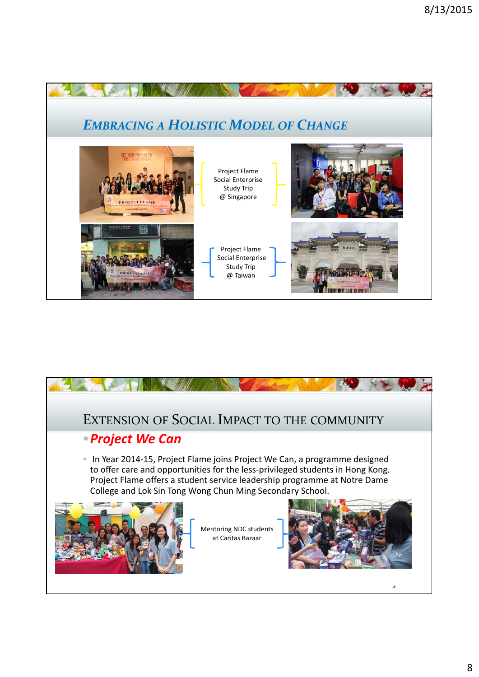

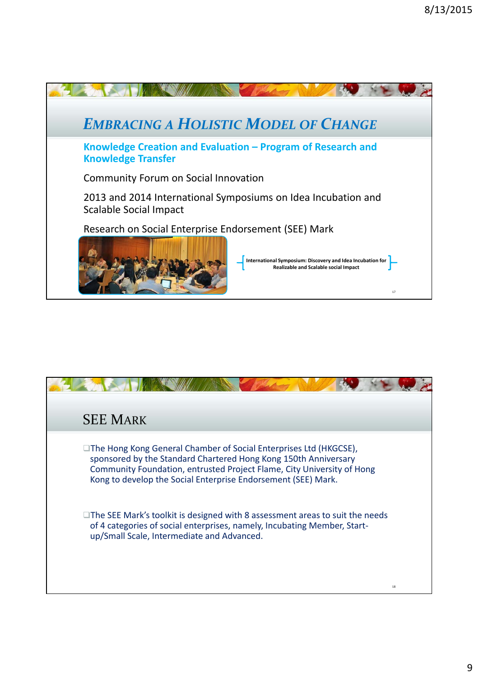

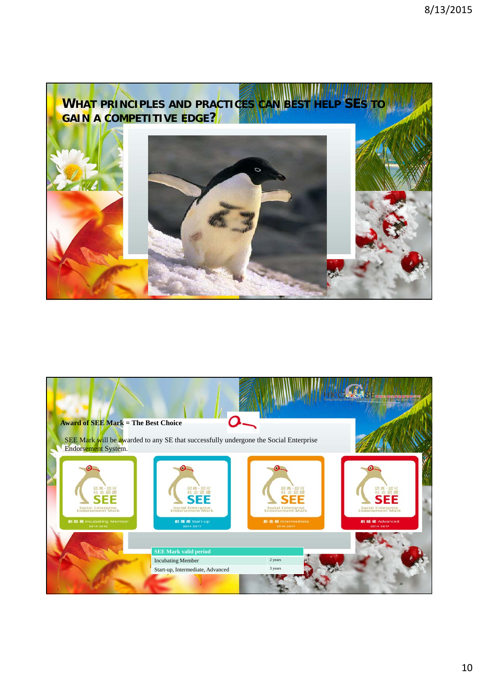

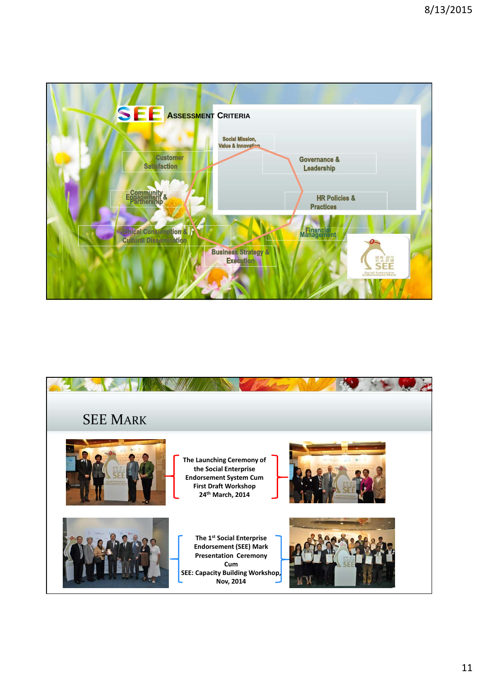

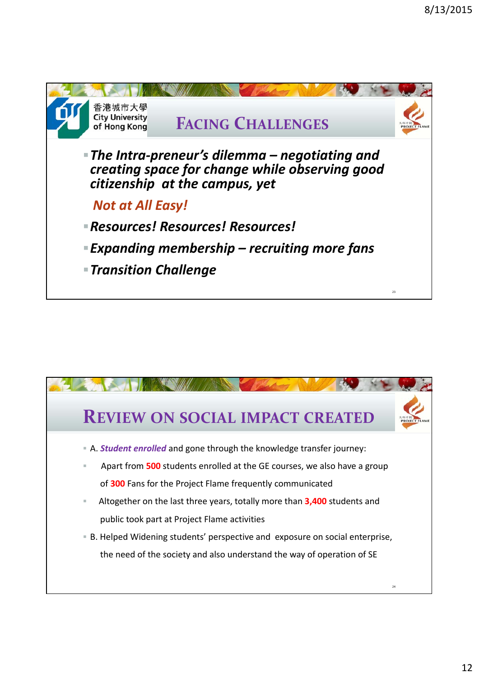

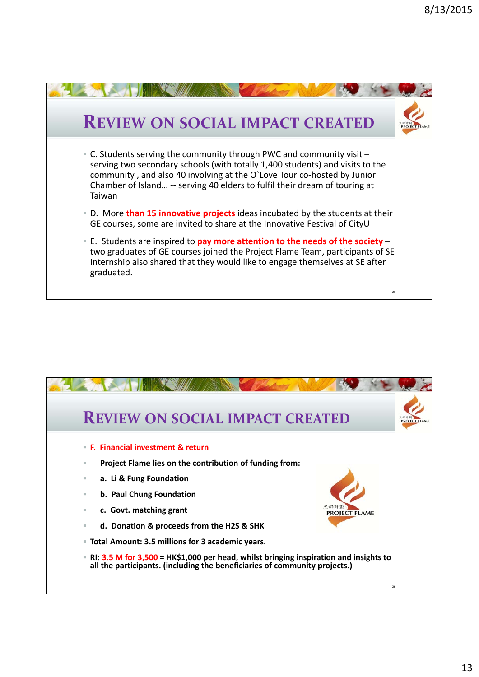

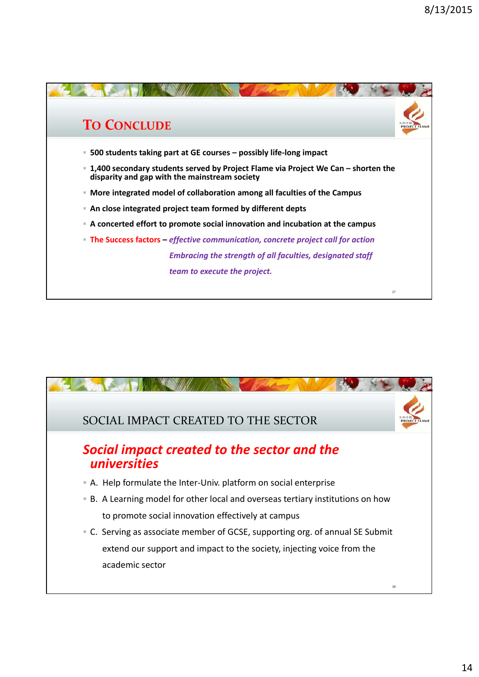